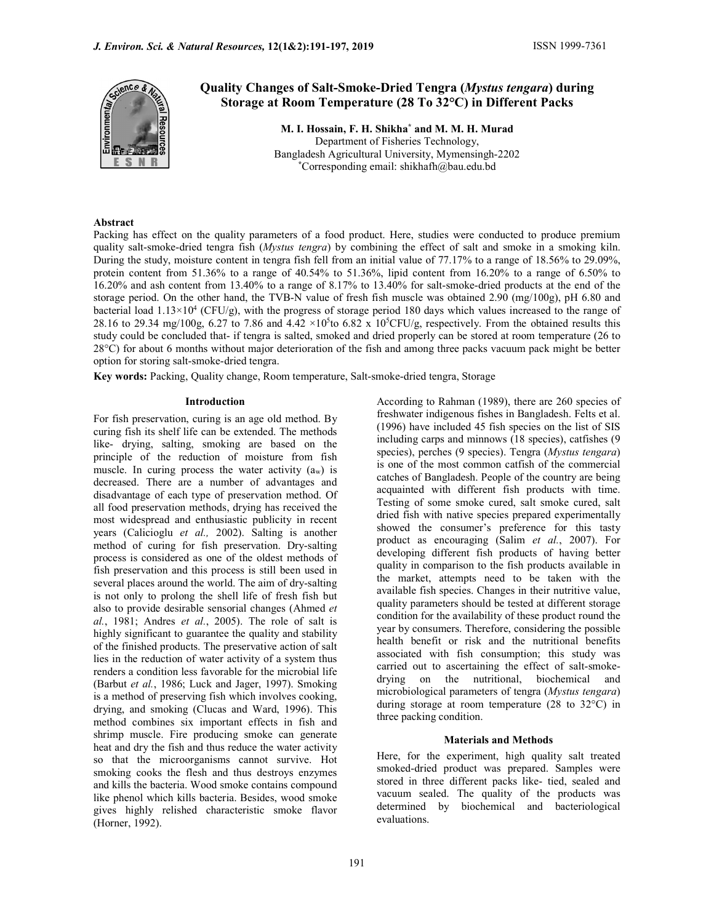

# Quality Changes of Salt-Smoke-Dried Tengra (Mystus tengara) during Storage at Room Temperature (28 To 32°C) in Different Packs

M. I. Hossain, F. H. Shikha\* and M. M. H. Murad Department of Fisheries Technology, Bangladesh Agricultural University, Mymensingh-2202 \*Corresponding email: shikhafh@bau.edu.bd

## Abstract

Packing has effect on the quality parameters of a food product. Here, studies were conducted to produce premium quality salt-smoke-dried tengra fish (Mystus tengra) by combining the effect of salt and smoke in a smoking kiln. During the study, moisture content in tengra fish fell from an initial value of 77.17% to a range of 18.56% to 29.09%, protein content from 51.36% to a range of 40.54% to 51.36%, lipid content from 16.20% to a range of 6.50% to 16.20% and ash content from 13.40% to a range of 8.17% to 13.40% for salt-smoke-dried products at the end of the storage period. On the other hand, the TVB-N value of fresh fish muscle was obtained 2.90 (mg/100g), pH 6.80 and bacterial load  $1.13\times10^4$  (CFU/g), with the progress of storage period 180 days which values increased to the range of 28.16 to 29.34 mg/100g, 6.27 to 7.86 and 4.42  $\times 10^5$ to 6.82 x 10<sup>5</sup>CFU/g, respectively. From the obtained results this study could be concluded that- if tengra is salted, smoked and dried properly can be stored at room temperature (26 to 28°C) for about 6 months without major deterioration of the fish and among three packs vacuum pack might be better option for storing salt-smoke-dried tengra.

Key words: Packing, Quality change, Room temperature, Salt-smoke-dried tengra, Storage

#### Introduction

For fish preservation, curing is an age old method. By curing fish its shelf life can be extended. The methods like- drying, salting, smoking are based on the principle of the reduction of moisture from fish muscle. In curing process the water activity  $(a_w)$  is decreased. There are a number of advantages and disadvantage of each type of preservation method. Of all food preservation methods, drying has received the most widespread and enthusiastic publicity in recent years (Calicioglu et al., 2002). Salting is another method of curing for fish preservation. Dry-salting process is considered as one of the oldest methods of fish preservation and this process is still been used in several places around the world. The aim of dry-salting is not only to prolong the shell life of fresh fish but also to provide desirable sensorial changes (Ahmed et  $al., 1981;$  Andres et  $al., 2005$ ). The role of salt is highly significant to guarantee the quality and stability of the finished products. The preservative action of salt lies in the reduction of water activity of a system thus renders a condition less favorable for the microbial life (Barbut et al., 1986; Luck and Jager, 1997). Smoking is a method of preserving fish which involves cooking, drying, and smoking (Clucas and Ward, 1996). This method combines six important effects in fish and shrimp muscle. Fire producing smoke can generate heat and dry the fish and thus reduce the water activity so that the microorganisms cannot survive. Hot smoking cooks the flesh and thus destroys enzymes and kills the bacteria. Wood smoke contains compound like phenol which kills bacteria. Besides, wood smoke gives highly relished characteristic smoke flavor (Horner, 1992).

According to Rahman (1989), there are 260 species of freshwater indigenous fishes in Bangladesh. Felts et al. (1996) have included 45 fish species on the list of SIS including carps and minnows (18 species), catfishes (9 species), perches (9 species). Tengra (Mystus tengara) is one of the most common catfish of the commercial catches of Bangladesh. People of the country are being acquainted with different fish products with time. Testing of some smoke cured, salt smoke cured, salt dried fish with native species prepared experimentally showed the consumer's preference for this tasty product as encouraging (Salim et al., 2007). For developing different fish products of having better quality in comparison to the fish products available in the market, attempts need to be taken with the available fish species. Changes in their nutritive value, quality parameters should be tested at different storage condition for the availability of these product round the year by consumers. Therefore, considering the possible health benefit or risk and the nutritional benefits associated with fish consumption; this study was carried out to ascertaining the effect of salt-smokedrying on the nutritional, biochemical and microbiological parameters of tengra (Mystus tengara) during storage at room temperature (28 to 32°C) in three packing condition.

#### Materials and Methods

Here, for the experiment, high quality salt treated smoked-dried product was prepared. Samples were stored in three different packs like- tied, sealed and vacuum sealed. The quality of the products was determined by biochemical and bacteriological evaluations.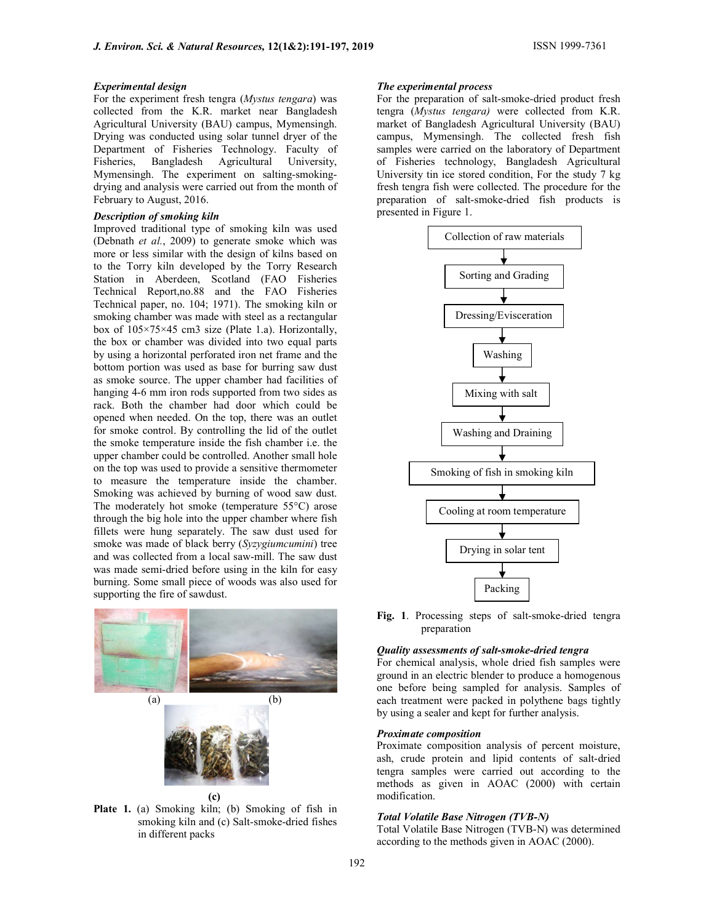#### Experimental design

For the experiment fresh tengra (Mystus tengara) was collected from the K.R. market near Bangladesh Agricultural University (BAU) campus, Mymensingh. Drying was conducted using solar tunnel dryer of the Department of Fisheries Technology. Faculty of Fisheries, Bangladesh Agricultural University, Mymensingh. The experiment on salting-smokingdrying and analysis were carried out from the month of February to August, 2016.

## Description of smoking kiln

Improved traditional type of smoking kiln was used (Debnath et al., 2009) to generate smoke which was more or less similar with the design of kilns based on to the Torry kiln developed by the Torry Research Station in Aberdeen, Scotland (FAO Fisheries Technical Report,no.88 and the FAO Fisheries Technical paper, no. 104; 1971). The smoking kiln or smoking chamber was made with steel as a rectangular box of 105×75×45 cm3 size (Plate 1.a). Horizontally, the box or chamber was divided into two equal parts by using a horizontal perforated iron net frame and the bottom portion was used as base for burring saw dust as smoke source. The upper chamber had facilities of hanging 4-6 mm iron rods supported from two sides as rack. Both the chamber had door which could be opened when needed. On the top, there was an outlet for smoke control. By controlling the lid of the outlet the smoke temperature inside the fish chamber i.e. the upper chamber could be controlled. Another small hole on the top was used to provide a sensitive thermometer to measure the temperature inside the chamber. Smoking was achieved by burning of wood saw dust. The moderately hot smoke (temperature 55°C) arose through the big hole into the upper chamber where fish fillets were hung separately. The saw dust used for smoke was made of black berry (Syzygiumcumini) tree and was collected from a local saw-mill. The saw dust was made semi-dried before using in the kiln for easy burning. Some small piece of woods was also used for supporting the fire of sawdust.



Plate 1. (a) Smoking kiln; (b) Smoking of fish in smoking kiln and (c) Salt-smoke-dried fishes in different packs

#### The experimental process

For the preparation of salt-smoke-dried product fresh tengra (Mystus tengara) were collected from K.R. market of Bangladesh Agricultural University (BAU) campus, Mymensingh. The collected fresh fish samples were carried on the laboratory of Department of Fisheries technology, Bangladesh Agricultural University tin ice stored condition, For the study 7 kg fresh tengra fish were collected. The procedure for the preparation of salt-smoke-dried fish products is presented in Figure 1.



Fig. 1. Processing steps of salt-smoke-dried tengra preparation

#### Quality assessments of salt-smoke-dried tengra

For chemical analysis, whole dried fish samples were ground in an electric blender to produce a homogenous one before being sampled for analysis. Samples of each treatment were packed in polythene bags tightly by using a sealer and kept for further analysis.

#### Proximate composition

Proximate composition analysis of percent moisture, ash, crude protein and lipid contents of salt-dried tengra samples were carried out according to the methods as given in AOAC (2000) with certain modification.

#### Total Volatile Base Nitrogen (TVB-N)

Total Volatile Base Nitrogen (TVB-N) was determined according to the methods given in AOAC (2000).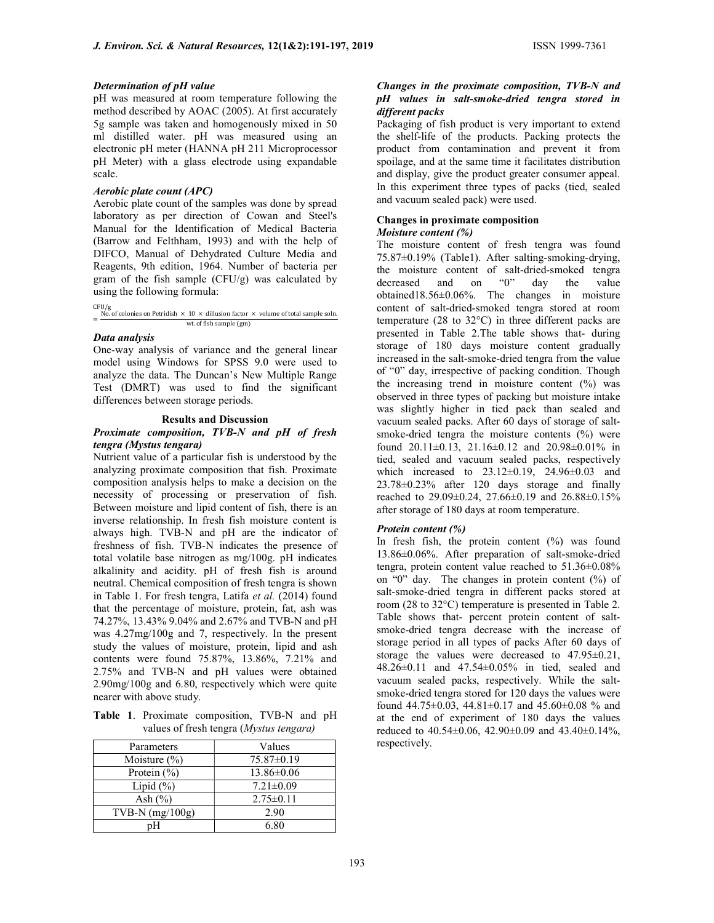#### Determination of pH value

pH was measured at room temperature following the method described by AOAC (2005). At first accurately 5g sample was taken and homogenously mixed in 50 ml distilled water. pH was measured using an electronic pH meter (HANNA pH 211 Microprocessor pH Meter) with a glass electrode using expandable scale.

## Aerobic plate count (APC)

Aerobic plate count of the samples was done by spread laboratory as per direction of Cowan and Steel's Manual for the Identification of Medical Bacteria (Barrow and Felthham, 1993) and with the help of DIFCO, Manual of Dehydrated Culture Media and Reagents, 9th edition, 1964. Number of bacteria per gram of the fish sample  $(CFU/g)$  was calculated by using the following formula:

CFU/g  $=\frac{N_{0.05}}{N_{0.05}}$  of colonies on Petridish  $\times$  10  $\times$  dillusion factor  $\times$  volume of total sample soln. wt. of fish sample (gm)

## Data analysis

One-way analysis of variance and the general linear model using Windows for SPSS 9.0 were used to analyze the data. The Duncan's New Multiple Range Test (DMRT) was used to find the significant differences between storage periods.

## Results and Discussion

## Proximate composition, TVB-N and pH of fresh tengra (Mystus tengara)

Nutrient value of a particular fish is understood by the analyzing proximate composition that fish. Proximate composition analysis helps to make a decision on the necessity of processing or preservation of fish. Between moisture and lipid content of fish, there is an inverse relationship. In fresh fish moisture content is always high. TVB-N and pH are the indicator of freshness of fish. TVB-N indicates the presence of total volatile base nitrogen as mg/100g. pH indicates alkalinity and acidity. pH of fresh fish is around neutral. Chemical composition of fresh tengra is shown in Table 1. For fresh tengra, Latifa et al. (2014) found that the percentage of moisture, protein, fat, ash was 74.27%, 13.43% 9.04% and 2.67% and TVB-N and pH was 4.27mg/100g and 7, respectively. In the present study the values of moisture, protein, lipid and ash contents were found 75.87%, 13.86%, 7.21% and 2.75% and TVB-N and pH values were obtained 2.90mg/100g and 6.80, respectively which were quite nearer with above study.

Table 1. Proximate composition, TVB-N and pH values of fresh tengra (Mystus tengara)

| Parameters        | Values           |
|-------------------|------------------|
| Moisture $(\% )$  | $75.87 \pm 0.19$ |
| Protein $(\% )$   | $13.86 \pm 0.06$ |
| Lipid $(\% )$     | $7.21 \pm 0.09$  |
| Ash $(\% )$       | $2.75 \pm 0.11$  |
| TVB-N $(mg/100g)$ | 2.90             |
| nН                | 6.80             |

#### Changes in the proximate composition, TVB-N and pH values in salt-smoke-dried tengra stored in different packs

Packaging of fish product is very important to extend the shelf-life of the products. Packing protects the product from contamination and prevent it from spoilage, and at the same time it facilitates distribution and display, give the product greater consumer appeal. In this experiment three types of packs (tied, sealed and vacuum sealed pack) were used.

#### Changes in proximate composition Moisture content (%)

The moisture content of fresh tengra was found 75.87±0.19% (Table1). After salting-smoking-drying, the moisture content of salt-dried-smoked tengra decreased and on "0" day the value obtained18.56±0.06%. The changes in moisture content of salt-dried-smoked tengra stored at room temperature (28 to 32°C) in three different packs are presented in Table 2.The table shows that- during storage of 180 days moisture content gradually increased in the salt-smoke-dried tengra from the value of "0" day, irrespective of packing condition. Though the increasing trend in moisture content (%) was observed in three types of packing but moisture intake was slightly higher in tied pack than sealed and vacuum sealed packs. After 60 days of storage of saltsmoke-dried tengra the moisture contents  $(%)$  were found 20.11±0.13, 21.16±0.12 and 20.98±0.01% in tied, sealed and vacuum sealed packs, respectively which increased to 23.12±0.19, 24.96±0.03 and 23.78±0.23% after 120 days storage and finally reached to 29.09±0.24, 27.66±0.19 and 26.88±0.15% after storage of 180 days at room temperature.

## Protein content (%)

In fresh fish, the protein content  $(\%)$  was found 13.86±0.06%. After preparation of salt-smoke-dried tengra, protein content value reached to 51.36±0.08% on "0" day. The changes in protein content (%) of salt-smoke-dried tengra in different packs stored at room (28 to 32°C) temperature is presented in Table 2. Table shows that- percent protein content of saltsmoke-dried tengra decrease with the increase of storage period in all types of packs After 60 days of storage the values were decreased to 47.95±0.21, 48.26±0.11 and 47.54±0.05% in tied, sealed and vacuum sealed packs, respectively. While the saltsmoke-dried tengra stored for 120 days the values were found 44.75±0.03, 44.81±0.17 and 45.60±0.08 % and at the end of experiment of 180 days the values reduced to 40.54±0.06, 42.90±0.09 and 43.40±0.14%, respectively.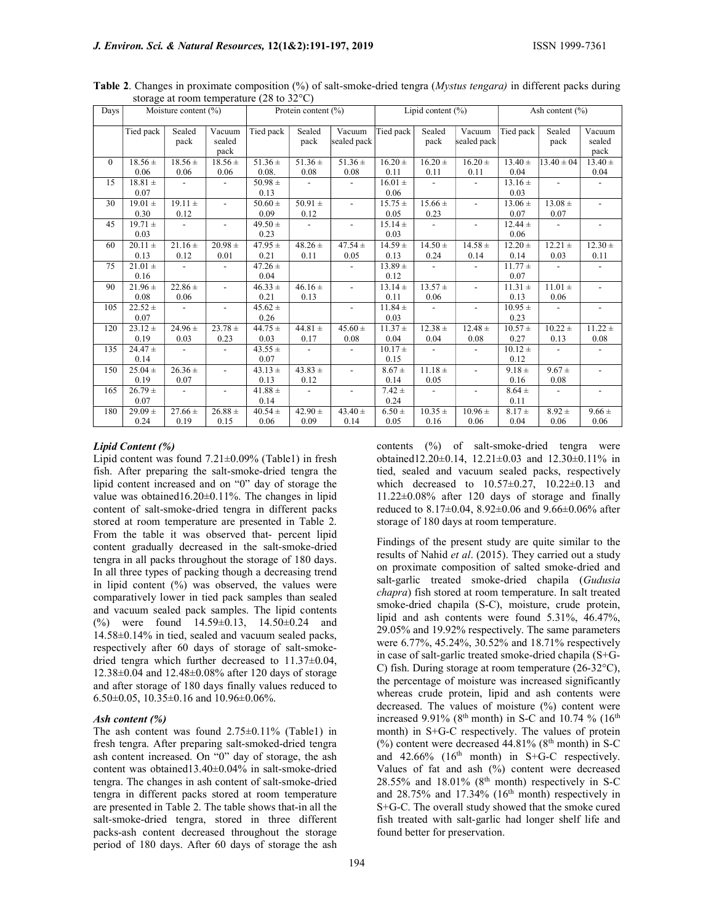| Days     | Moisture content $(\% )$ |                          | Protein content $(\% )$  |                     | Lipid content $(\%)$     |                          |                     | Ash content $(\% )$      |                          |                     |                          |                          |
|----------|--------------------------|--------------------------|--------------------------|---------------------|--------------------------|--------------------------|---------------------|--------------------------|--------------------------|---------------------|--------------------------|--------------------------|
|          | Tied pack                | Sealed<br>pack           | Vacuum<br>sealed<br>pack | Tied pack           | Sealed<br>pack           | Vacuum<br>sealed pack    | Tied pack           | Sealed<br>pack           | Vacuum<br>sealed pack    | Tied pack           | Sealed<br>pack           | Vacuum<br>sealed<br>pack |
| $\theta$ | $18.56 \pm$              | $18.56 \pm$              | $18.56 \pm$              | $51.36 \pm$         | $51.36 \pm$              | $51.36 \pm$              | $16.20 \pm$         | $16.20 \pm$              | $16.20 \pm$              | $13.40 \pm$         | $13.40 \pm 04$           | $13.40 \pm$              |
|          | 0.06                     | 0.06                     | 0.06                     | 0.08.               | 0.08                     | 0.08                     | 0.11                | 0.11                     | 0.11                     | 0.04                |                          | 0.04                     |
| 15       | $18.81 \pm$<br>0.07      | $\overline{\phantom{a}}$ |                          | $50.98 \pm$<br>0.13 | $\sim$                   | $\blacksquare$           | $16.01 \pm$<br>0.06 | $\overline{\phantom{a}}$ | $\blacksquare$           | $13.16 \pm$<br>0.03 | $\blacksquare$           | $\blacksquare$           |
| 30       | $19.01 \pm$<br>0.30      | $19.11 \pm$<br>0.12      | $\overline{\phantom{a}}$ | $50.60 \pm$<br>0.09 | 50.91 $\pm$<br>0.12      | $\blacksquare$           | $15.75 \pm$<br>0.05 | $15.66 \pm$<br>0.23      | $\overline{\phantom{a}}$ | $13.06 \pm$<br>0.07 | $13.08 \pm$<br>0.07      |                          |
| 45       | $19.71 \pm$<br>0.03      | $\overline{\phantom{a}}$ |                          | $49.50 \pm$<br>0.23 | $\overline{\phantom{a}}$ |                          | $15.14 \pm$<br>0.03 | $\overline{\phantom{a}}$ | $\overline{\phantom{a}}$ | $12.44 \pm$<br>0.06 |                          |                          |
| 60       | $20.11 \pm$<br>0.13      | $21.16 \pm$<br>0.12      | $20.98 \pm$<br>0.01      | $47.95 \pm$<br>0.21 | $48.26 \pm$<br>0.11      | $47.54 \pm$<br>0.05      | $14.59 \pm$<br>0.13 | $14.50 \pm$<br>0.24      | $14.58 \pm$<br>0.14      | $12.20 \pm$<br>0.14 | $12.21 \pm$<br>0.03      | $12.30 \pm$<br>0.11      |
| 75       | $21.01 \pm$<br>0.16      | $\blacksquare$           | $\sim$                   | $47.26 \pm$<br>0.04 |                          | $\sim$                   | $13.89 \pm$<br>0.12 | $\sim$                   | $\overline{\phantom{a}}$ | $11.77 \pm$<br>0.07 | $\overline{\phantom{a}}$ |                          |
| 90       | $21.96 \pm$<br>0.08      | $22.86 \pm$<br>0.06      | $\overline{a}$           | $46.33 \pm$<br>0.21 | 46.16 $\pm$<br>0.13      | $\blacksquare$           | $13.14 \pm$<br>0.11 | $13.57 \pm$<br>0.06      | $\blacksquare$           | $11.31 \pm$<br>0.13 | $11.01 \pm$<br>0.06      | $\overline{\phantom{a}}$ |
| 105      | $22.52 \pm$<br>0.07      | $\sim$                   | $\overline{\phantom{a}}$ | $45.62 \pm$<br>0.26 |                          | $\overline{\phantom{a}}$ | $11.84 \pm$<br>0.03 | $\sim$                   | $\overline{\phantom{a}}$ | $10.95 \pm$<br>0.23 | $\overline{\phantom{a}}$ | $\overline{\phantom{a}}$ |
| 120      | $23.12 \pm$<br>0.19      | $24.96 \pm$<br>0.03      | $23.78 \pm$<br>0.23      | $44.75 \pm$<br>0.03 | $44.81 \pm$<br>0.17      | $45.60 \pm$<br>0.08      | $11.37 \pm$<br>0.04 | $12.38 \pm$<br>0.04      | $12.48 \pm$<br>0.08      | $10.57 \pm$<br>0.27 | $10.22 \pm$<br>0.13      | $11.22 \pm$<br>0.08      |
| 135      | $24.47 \pm$<br>0.14      | $\overline{\phantom{a}}$ | $\overline{\phantom{a}}$ | $43.55 \pm$<br>0.07 | $\blacksquare$           | $\blacksquare$           | $10.17 \pm$<br>0.15 | $\sim$                   | $\blacksquare$           | $10.12 \pm$<br>0.12 | $\blacksquare$           |                          |
| 150      | $25.04 \pm$<br>0.19      | $26.36 \pm$<br>0.07      | $\overline{\phantom{a}}$ | $43.13 \pm$<br>0.13 | $43.83 \pm$<br>0.12      | $\blacksquare$           | $8.67 \pm$<br>0.14  | $11.18 \pm$<br>0.05      | $\overline{\phantom{a}}$ | $9.18 \pm$<br>0.16  | $9.67 \pm$<br>0.08       |                          |
| 165      | $26.79 \pm$<br>0.07      | $\sim$                   | $\overline{\phantom{a}}$ | $41.88 \pm$<br>0.14 | $\sim$                   | $\overline{\phantom{a}}$ | $7.42 \pm$<br>0.24  | $\overline{\phantom{a}}$ | $\overline{\phantom{a}}$ | $8.64 \pm$<br>0.11  | $\overline{\phantom{a}}$ | $\overline{\phantom{a}}$ |
| 180      | $29.09 \pm$<br>0.24      | $27.66 \pm$<br>0.19      | $26.88 \pm$<br>0.15      | $40.54 \pm$<br>0.06 | $42.90 \pm$<br>0.09      | $43.40 \pm$<br>0.14      | $6.50 \pm$<br>0.05  | $10.35 \pm$<br>0.16      | $10.96 \pm$<br>0.06      | $8.17 \pm$<br>0.04  | $8.92 \pm$<br>0.06       | $9.66 \pm$<br>0.06       |

Table 2. Changes in proximate composition (%) of salt-smoke-dried tengra (*Mystus tengara*) in different packs during storage at room temperature (28 to 32°C)

#### Lipid Content (%)

Lipid content was found  $7.21 \pm 0.09\%$  (Table1) in fresh fish. After preparing the salt-smoke-dried tengra the lipid content increased and on "0" day of storage the value was obtained16.20±0.11%. The changes in lipid content of salt-smoke-dried tengra in different packs stored at room temperature are presented in Table 2. From the table it was observed that- percent lipid content gradually decreased in the salt-smoke-dried tengra in all packs throughout the storage of 180 days. In all three types of packing though a decreasing trend in lipid content (%) was observed, the values were comparatively lower in tied pack samples than sealed and vacuum sealed pack samples. The lipid contents (%) were found 14.59±0.13, 14.50±0.24 and 14.58±0.14% in tied, sealed and vacuum sealed packs, respectively after 60 days of storage of salt-smokedried tengra which further decreased to 11.37±0.04, 12.38±0.04 and 12.48±0.08% after 120 days of storage and after storage of 180 days finally values reduced to 6.50±0.05, 10.35±0.16 and 10.96±0.06%.

#### Ash content (%)

The ash content was found 2.75±0.11% (Table1) in fresh tengra. After preparing salt-smoked-dried tengra ash content increased. On "0" day of storage, the ash content was obtained13.40±0.04% in salt-smoke-dried tengra. The changes in ash content of salt-smoke-dried tengra in different packs stored at room temperature are presented in Table 2. The table shows that-in all the salt-smoke-dried tengra, stored in three different packs-ash content decreased throughout the storage period of 180 days. After 60 days of storage the ash

contents (%) of salt-smoke-dried tengra were obtained12.20±0.14, 12.21±0.03 and 12.30±0.11% in tied, sealed and vacuum sealed packs, respectively which decreased to 10.57±0.27, 10.22±0.13 and 11.22±0.08% after 120 days of storage and finally reduced to 8.17±0.04, 8.92±0.06 and 9.66±0.06% after storage of 180 days at room temperature.

Findings of the present study are quite similar to the results of Nahid et al. (2015). They carried out a study on proximate composition of salted smoke-dried and salt-garlic treated smoke-dried chapila (Gudusia chapra) fish stored at room temperature. In salt treated smoke-dried chapila (S-C), moisture, crude protein, lipid and ash contents were found 5.31%, 46.47%, 29.05% and 19.92% respectively. The same parameters were 6.77%, 45.24%, 30.52% and 18.71% respectively in case of salt-garlic treated smoke-dried chapila (S+G-C) fish. During storage at room temperature (26-32°C), the percentage of moisture was increased significantly whereas crude protein, lipid and ash contents were decreased. The values of moisture (%) content were increased 9.91% (8<sup>th</sup> month) in S-C and 10.74 % (16<sup>th</sup> month) in S+G-C respectively. The values of protein (%) content were decreased  $44.81\%$  ( $8<sup>th</sup>$  month) in S-C and  $42.66\%$  (16<sup>th</sup> month) in S+G-C respectively. Values of fat and ash (%) content were decreased 28.55% and 18.01% ( $8<sup>th</sup>$  month) respectively in S-C and  $28.75\%$  and  $17.34\%$  (16<sup>th</sup> month) respectively in S+G-C. The overall study showed that the smoke cured fish treated with salt-garlic had longer shelf life and found better for preservation.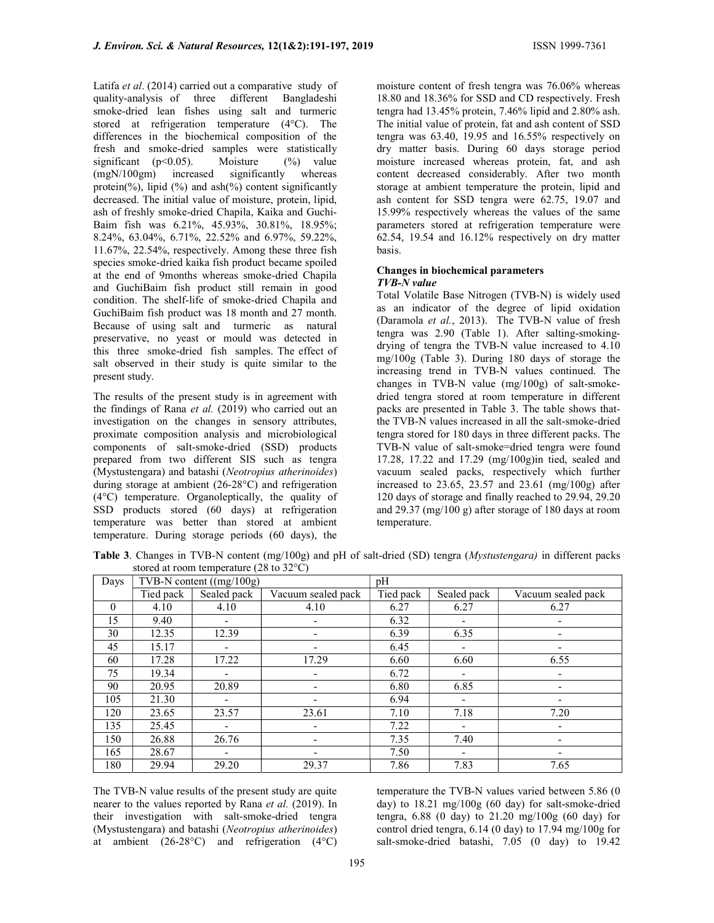Latifa et al. (2014) carried out a comparative study of quality-analysis of three different Bangladeshi smoke-dried lean fishes using salt and turmeric stored at refrigeration temperature (4°C). The differences in the biochemical composition of the fresh and smoke-dried samples were statistically significant (p<0.05). Moisture (%) value<br>(mgN/100gm) increased significantly whereas (mgN/100gm) increased significantly whereas protein(%), lipid (%) and  $ash$ %) content significantly decreased. The initial value of moisture, protein, lipid, ash of freshly smoke-dried Chapila, Kaika and Guchi-Baim fish was 6.21%, 45.93%, 30.81%, 18.95%; 8.24%, 63.04%, 6.71%, 22.52% and 6.97%, 59.22%, 11.67%, 22.54%, respectively. Among these three fish species smoke-dried kaika fish product became spoiled at the end of 9months whereas smoke-dried Chapila and GuchiBaim fish product still remain in good condition. The shelf-life of smoke-dried Chapila and GuchiBaim fish product was 18 month and 27 month. Because of using salt and turmeric as natural preservative, no yeast or mould was detected in this three smoke-dried fish samples. The effect of salt observed in their study is quite similar to the present study.

The results of the present study is in agreement with the findings of Rana et al. (2019) who carried out an investigation on the changes in sensory attributes, proximate composition analysis and microbiological components of salt-smoke-dried (SSD) products prepared from two different SIS such as tengra (Mystustengara) and batashi (Neotropius atherinoides) during storage at ambient (26-28°C) and refrigeration (4°C) temperature. Organoleptically, the quality of SSD products stored (60 days) at refrigeration temperature was better than stored at ambient temperature. During storage periods (60 days), the

moisture content of fresh tengra was 76.06% whereas 18.80 and 18.36% for SSD and CD respectively. Fresh tengra had 13.45% protein, 7.46% lipid and 2.80% ash. The initial value of protein, fat and ash content of SSD tengra was 63.40, 19.95 and 16.55% respectively on dry matter basis. During 60 days storage period moisture increased whereas protein, fat, and ash content decreased considerably. After two month storage at ambient temperature the protein, lipid and ash content for SSD tengra were 62.75, 19.07 and 15.99% respectively whereas the values of the same parameters stored at refrigeration temperature were 62.54, 19.54 and 16.12% respectively on dry matter basis.

#### Changes in biochemical parameters TVB-N value

Total Volatile Base Nitrogen (TVB-N) is widely used as an indicator of the degree of lipid oxidation (Daramola et al., 2013). The TVB-N value of fresh tengra was 2.90 (Table 1). After salting-smokingdrying of tengra the TVB-N value increased to 4.10 mg/100g (Table 3). During 180 days of storage the increasing trend in TVB-N values continued. The changes in TVB-N value (mg/100g) of salt-smokedried tengra stored at room temperature in different packs are presented in Table 3. The table shows thatthe TVB-N values increased in all the salt-smoke-dried tengra stored for 180 days in three different packs. The TVB-N value of salt-smoke=dried tengra were found 17.28, 17.22 and 17.29 (mg/100g)in tied, sealed and vacuum sealed packs, respectively which further increased to 23.65, 23.57 and 23.61 (mg/100g) after 120 days of storage and finally reached to 29.94, 29.20 and 29.37 (mg/100 g) after storage of 180 days at room temperature.

| Days     | TVB-N content $((mg/100g))$ |                          |                    | pH        |                          |                          |
|----------|-----------------------------|--------------------------|--------------------|-----------|--------------------------|--------------------------|
|          | Tied pack                   | Sealed pack              | Vacuum sealed pack | Tied pack | Sealed pack              | Vacuum sealed pack       |
| $\theta$ | 4.10                        | 4.10                     | 4.10               | 6.27      | 6.27                     | 6.27                     |
| 15       | 9.40                        | $\overline{\phantom{a}}$ |                    | 6.32      | $\overline{\phantom{a}}$ |                          |
| 30       | 12.35                       | 12.39                    |                    | 6.39      | 6.35                     |                          |
| 45       | 15.17                       | $\overline{\phantom{a}}$ |                    | 6.45      | $\overline{\phantom{a}}$ |                          |
| 60       | 17.28                       | 17.22                    | 17.29              | 6.60      | 6.60                     | 6.55                     |
| 75       | 19.34                       | $\overline{\phantom{a}}$ |                    | 6.72      | $\overline{\phantom{a}}$ | $\overline{\phantom{a}}$ |
| 90       | 20.95                       | 20.89                    |                    | 6.80      | 6.85                     |                          |
| 105      | 21.30                       | $\overline{\phantom{0}}$ | -                  | 6.94      | $\overline{\phantom{a}}$ |                          |
| 120      | 23.65                       | 23.57                    | 23.61              | 7.10      | 7.18                     | 7.20                     |
| 135      | 25.45                       |                          | ٠                  | 7.22      | $\overline{\phantom{a}}$ | -                        |
| 150      | 26.88                       | 26.76                    |                    | 7.35      | 7.40                     |                          |
| 165      | 28.67                       |                          |                    | 7.50      | $\overline{\phantom{a}}$ |                          |
| 180      | 29.94                       | 29.20                    | 29.37              | 7.86      | 7.83                     | 7.65                     |

Table 3. Changes in TVB-N content (mg/100g) and pH of salt-dried (SD) tengra (*Mystustengara*) in different packs stored at room temperature (28 to 32°C)

The TVB-N value results of the present study are quite nearer to the values reported by Rana et al. (2019). In their investigation with salt-smoke-dried tengra (Mystustengara) and batashi (Neotropius atherinoides) at ambient (26-28°C) and refrigeration (4°C)

temperature the TVB-N values varied between 5.86 (0 day) to 18.21 mg/100g (60 day) for salt-smoke-dried tengra, 6.88 (0 day) to 21.20 mg/100g (60 day) for control dried tengra, 6.14 (0 day) to 17.94 mg/100g for salt-smoke-dried batashi, 7.05 (0 day) to 19.42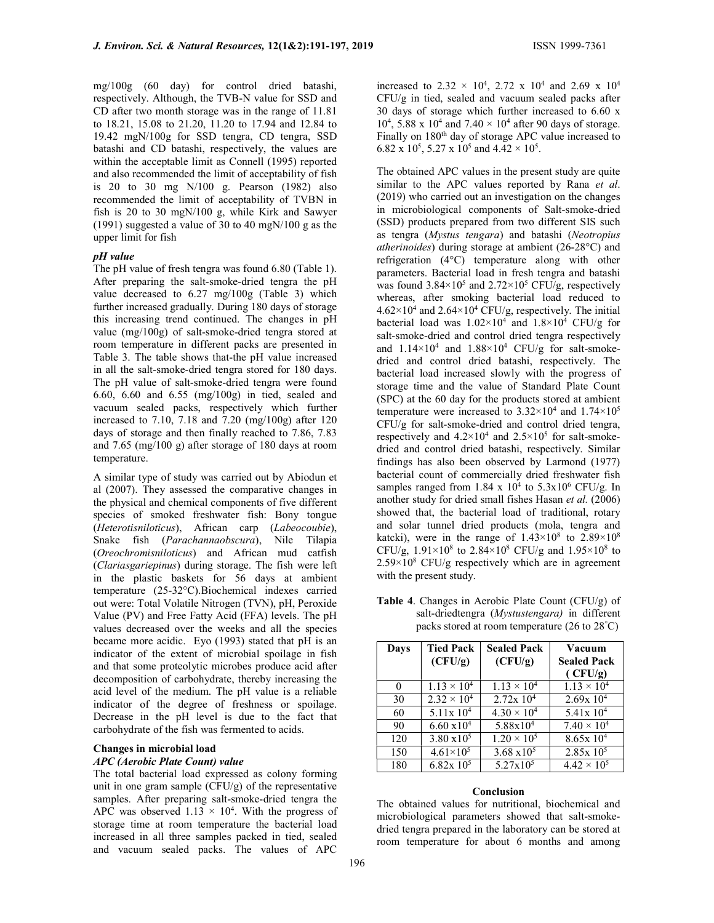mg/100g (60 day) for control dried batashi, respectively. Although, the TVB-N value for SSD and CD after two month storage was in the range of 11.81 to 18.21, 15.08 to 21.20, 11.20 to 17.94 and 12.84 to 19.42 mgN/100g for SSD tengra, CD tengra, SSD batashi and CD batashi, respectively, the values are within the acceptable limit as Connell (1995) reported and also recommended the limit of acceptability of fish is 20 to 30 mg N/100 g. Pearson (1982) also recommended the limit of acceptability of TVBN in fish is 20 to 30 mgN/100 g, while Kirk and Sawyer (1991) suggested a value of 30 to 40 mgN/100 g as the upper limit for fish

## pH value

The pH value of fresh tengra was found 6.80 (Table 1). After preparing the salt-smoke-dried tengra the pH value decreased to 6.27 mg/100g (Table 3) which further increased gradually. During 180 days of storage this increasing trend continued. The changes in pH value (mg/100g) of salt-smoke-dried tengra stored at room temperature in different packs are presented in Table 3. The table shows that-the pH value increased in all the salt-smoke-dried tengra stored for 180 days. The pH value of salt-smoke-dried tengra were found 6.60, 6.60 and 6.55 (mg/100g) in tied, sealed and vacuum sealed packs, respectively which further increased to 7.10, 7.18 and 7.20 (mg/100g) after 120 days of storage and then finally reached to 7.86, 7.83 and 7.65 (mg/100 g) after storage of 180 days at room temperature.

A similar type of study was carried out by Abiodun et al (2007). They assessed the comparative changes in the physical and chemical components of five different species of smoked freshwater fish: Bony tongue (Heterotisniloticus), African carp (Labeocoubie), Snake fish (Parachannaobscura), Nile Tilapia (Oreochromisniloticus) and African mud catfish (Clariasgariepinus) during storage. The fish were left in the plastic baskets for 56 days at ambient temperature (25-32°C).Biochemical indexes carried out were: Total Volatile Nitrogen (TVN), pH, Peroxide Value (PV) and Free Fatty Acid (FFA) levels. The pH values decreased over the weeks and all the species became more acidic. Eyo (1993) stated that pH is an indicator of the extent of microbial spoilage in fish and that some proteolytic microbes produce acid after decomposition of carbohydrate, thereby increasing the acid level of the medium. The pH value is a reliable indicator of the degree of freshness or spoilage. Decrease in the pH level is due to the fact that carbohydrate of the fish was fermented to acids.

#### Changes in microbial load APC (Aerobic Plate Count) value

The total bacterial load expressed as colony forming unit in one gram sample (CFU/g) of the representative samples. After preparing salt-smoke-dried tengra the APC was observed  $1.13 \times 10^4$ . With the progress of storage time at room temperature the bacterial load increased in all three samples packed in tied, sealed and vacuum sealed packs. The values of APC

increased to 2.32  $\times$  10<sup>4</sup>, 2.72 x 10<sup>4</sup> and 2.69 x 10<sup>4</sup> CFU/g in tied, sealed and vacuum sealed packs after 30 days of storage which further increased to 6.60 x 10<sup>4</sup>, 5.88 x 10<sup>4</sup> and 7.40  $\times$  10<sup>4</sup> after 90 days of storage. Finally on 180<sup>th</sup> day of storage APC value increased to 6.82 x 10<sup>5</sup>, 5.27 x 10<sup>5</sup> and 4.42  $\times$  10<sup>5</sup>.

The obtained APC values in the present study are quite similar to the APC values reported by Rana et al. (2019) who carried out an investigation on the changes in microbiological components of Salt-smoke-dried (SSD) products prepared from two different SIS such as tengra (Mystus tengara) and batashi (Neotropius atherinoides) during storage at ambient (26-28°C) and refrigeration (4°C) temperature along with other parameters. Bacterial load in fresh tengra and batashi was found  $3.84 \times 10^5$  and  $2.72 \times 10^5$  CFU/g, respectively whereas, after smoking bacterial load reduced to  $4.62 \times 10^4$  and  $2.64 \times 10^4$  CFU/g, respectively. The initial bacterial load was  $1.02 \times 10^4$  and  $1.8 \times 10^4$  CFU/g for salt-smoke-dried and control dried tengra respectively and  $1.14 \times 10^4$  and  $1.88 \times 10^4$  CFU/g for salt-smokedried and control dried batashi, respectively. The bacterial load increased slowly with the progress of storage time and the value of Standard Plate Count (SPC) at the 60 day for the products stored at ambient temperature were increased to  $3.32 \times 10^4$  and  $1.74 \times 10^5$ CFU/g for salt-smoke-dried and control dried tengra, respectively and  $4.2 \times 10^4$  and  $2.5 \times 10^5$  for salt-smokedried and control dried batashi, respectively. Similar findings has also been observed by Larmond (1977) bacterial count of commercially dried freshwater fish samples ranged from  $1.84 \times 10^4$  to  $5.3 \times 10^6$  CFU/g. In another study for dried small fishes Hasan et al. (2006) showed that, the bacterial load of traditional, rotary and solar tunnel dried products (mola, tengra and katcki), were in the range of  $1.43 \times 10^8$  to  $2.89 \times 10^8$ CFU/g,  $1.91 \times 10^8$  to  $2.84 \times 10^8$  CFU/g and  $1.95 \times 10^8$  to  $2.59 \times 10^8$  CFU/g respectively which are in agreement with the present study.

Table 4. Changes in Aerobic Plate Count (CFU/g) of salt-driedtengra (Mystustengara) in different packs stored at room temperature (26 to 28°C)

| Days     | <b>Tied Pack</b><br>(CFU/g) | <b>Sealed Pack</b><br>(CFU/g) | Vacuum<br><b>Sealed Pack</b><br>(CFU/g) |
|----------|-----------------------------|-------------------------------|-----------------------------------------|
| $\theta$ | $1.13 \times 10^{4}$        | $1.13 \times 10^{4}$          | $1.13 \times 10^{4}$                    |
| 30       | $2.32 \times 10^{4}$        | $2.72x$ 10 <sup>4</sup>       | 2.69x10 <sup>4</sup>                    |
| 60       | $5.11x10^4$                 | $4.30 \times 10^{4}$          | $5.41x10^4$                             |
| 90       | $6.60 \times 10^{4}$        | $5.88 \times 10^{4}$          | $7.40 \times 10^{4}$                    |
| 120      | $3.80 \times 10^5$          | $1.20 \times 10^{5}$          | 8.65x10 <sup>4</sup>                    |
| 150      | $4.61\times10^{5}$          | $3.68 \times 10^5$            | $2.85x 10^5$                            |
| 180      | $6.82x\ 10^5$               | $5.27 \times 10^5$            | $4.42 \times 10^{5}$                    |

## Conclusion

The obtained values for nutritional, biochemical and microbiological parameters showed that salt-smokedried tengra prepared in the laboratory can be stored at room temperature for about 6 months and among